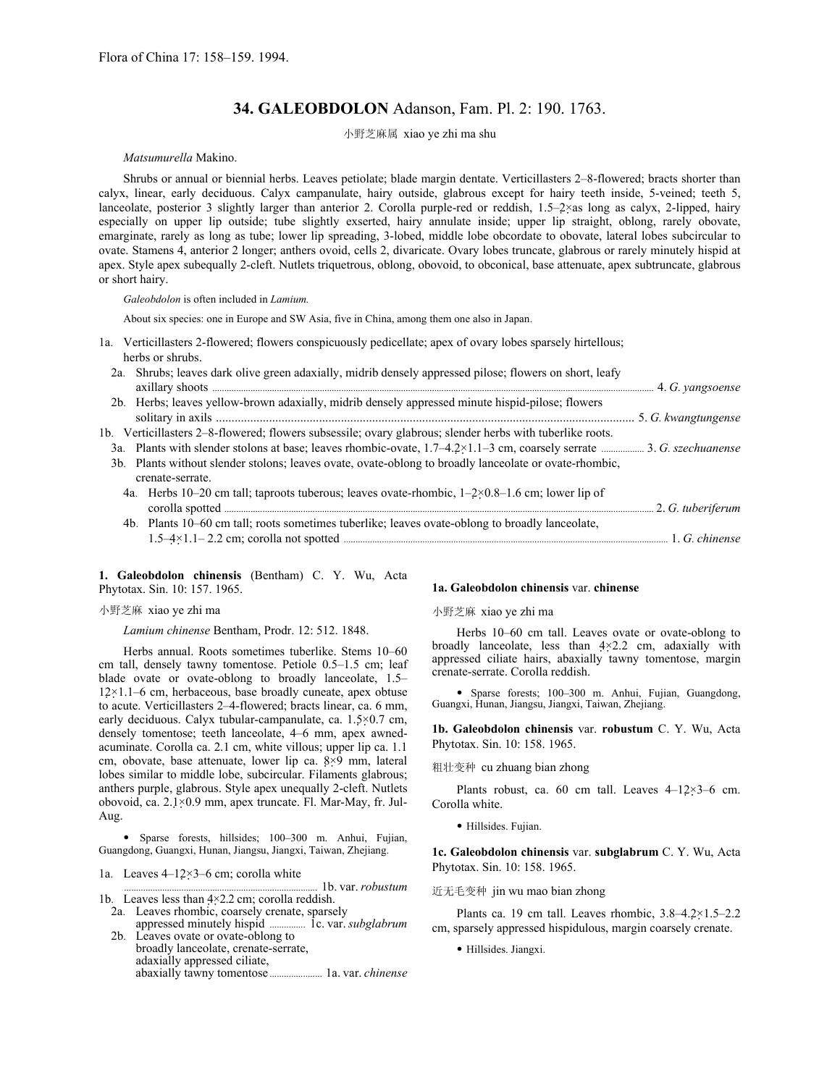# **34. GALEOBDOLON** Adanson, Fam. Pl. 2: 190. 1763.

小野芝麻属 xiao ye zhi ma shu

# *Matsumurella* Makino.

Shrubs or annual or biennial herbs. Leaves petiolate; blade margin dentate. Verticillasters 2–8-flowered; bracts shorter than calyx, linear, early deciduous. Calyx campanulate, hairy outside, glabrous except for hairy teeth inside, 5-veined; teeth 5, lanceolate, posterior 3 slightly larger than anterior 2. Corolla purple-red or reddish, 1.5–2×as long as calyx, 2-lipped, hairy especially on upper lip outside; tube slightly exserted, hairy annulate inside; upper lip straight, oblong, rarely obovate, emarginate, rarely as long as tube; lower lip spreading, 3-lobed, middle lobe obcordate to obovate, lateral lobes subcircular to ovate. Stamens 4, anterior 2 longer; anthers ovoid, cells 2, divaricate. Ovary lobes truncate, glabrous or rarely minutely hispid at apex. Style apex subequally 2-cleft. Nutlets triquetrous, oblong, obovoid, to obconical, base attenuate, apex subtruncate, glabrous or short hairy.

*Galeobdolon* is often included in *Lamium.* 

About six species: one in Europe and SW Asia, five in China, among them one also in Japan.

- 1a. Verticillasters 2-flowered; flowers conspicuously pedicellate; apex of ovary lobes sparsely hirtellous; herbs or shrubs.
	- 2a. Shrubs; leaves dark olive green adaxially, midrib densely appressed pilose; flowers on short, leafy axillary shoots ......................................................................................................................................................................................... 4. *G. yangsoense*
	- 2b. Herbs; leaves yellow-brown adaxially, midrib densely appressed minute hispid-pilose; flowers solitary in axils ...................................................................................................................................... 5. *G. kwangtungense*

1b. Verticillasters 2–8-flowered; flowers subsessile; ovary glabrous; slender herbs with tuberlike roots.

- 3a. Plants with slender stolons at base; leaves rhombic-ovate, 1.7–4.2×1.1–3 cm, coarsely serrate .................. 3. *G. szechuanense* 3b. Plants without slender stolons; leaves ovate, ovate-oblong to broadly lanceolate or ovate-rhombic, crenate-serrate.
	- 4a. Herbs 10–20 cm tall; taproots tuberous; leaves ovate-rhombic, 1–2×0.8–1.6 cm; lower lip of corolla spotted .................................................................................................................................................................................... 2. *G. tuberiferum* 4b. Plants 10–60 cm tall; roots sometimes tuberlike; leaves ovate-oblong to broadly lanceolate,

1.5–4×1.1– 2.2 cm; corolla not spotted ........................................................................................................................................ 1. *G. chinense* 

### **1. Galeobdolon chinensis** (Bentham) C. Y. Wu, Acta Phytotax. Sin. 10: 157. 1965.

## 小野芝麻 xiao ye zhi ma

*Lamium chinense* Bentham, Prodr. 12: 512. 1848.

Herbs annual. Roots sometimes tuberlike. Stems 10–60 cm tall, densely tawny tomentose. Petiole 0.5–1.5 cm; leaf blade ovate or ovate-oblong to broadly lanceolate, 1.5–  $12\times1.1-6$  cm, herbaceous, base broadly cuneate, apex obtuse to acute. Verticillasters 2–4-flowered; bracts linear, ca. 6 mm, early deciduous. Calyx tubular-campanulate, ca. 1.5×0.7 cm, densely tomentose; teeth lanceolate, 4–6 mm, apex awnedacuminate. Corolla ca. 2.1 cm, white villous; upper lip ca. 1.1 cm, obovate, base attenuate, lower lip ca. 8×9 mm, lateral lobes similar to middle lobe, subcircular. Filaments glabrous; anthers purple, glabrous. Style apex unequally 2-cleft. Nutlets obovoid, ca. 2.1×0.9 mm, apex truncate. Fl. Mar-May, fr. Jul-Aug.

• Sparse forests, hillsides; 100–300 m. Anhui, Fujian, Guangdong, Guangxi, Hunan, Jiangsu, Jiangxi, Taiwan, Zhejiang.

1a. Leaves 4–12×3–6 cm; corolla white

1b. var. *robustum* 1b. Leaves less than 4×2.2 cm; corolla reddish.

- 2a. Leaves rhombic, coarsely crenate, sparsely<br>appressed minutely hispid ................. 1c. var. *subglabrum* appressed minutely hispid ........ 2b. Leaves ovate or ovate-oblong to
- broadly lanceolate, crenate-serrate, adaxially appressed ciliate, abaxially tawny tomentose ...................... 1a. var. *chinense*

#### **1a. Galeobdolon chinensis** var. **chinense**

#### 小野芝麻 xiao ye zhi ma

Herbs 10–60 cm tall. Leaves ovate or ovate-oblong to broadly lanceolate, less than 4×2.2 cm, adaxially with appressed ciliate hairs, abaxially tawny tomentose, margin crenate-serrate. Corolla reddish.

• Sparse forests; 100–300 m. Anhui, Fujian, Guangdong, Guangxi, Hunan, Jiangsu, Jiangxi, Taiwan, Zhejiang.

**1b. Galeobdolon chinensis** var. **robustum** C. Y. Wu, Acta Phytotax. Sin. 10: 158. 1965.

粗壮变种 cu zhuang bian zhong

Plants robust, ca. 60 cm tall. Leaves 4–12×3–6 cm. Corolla white.

• Hillsides. Fujian.

**1c. Galeobdolon chinensis** var. **subglabrum** C. Y. Wu, Acta Phytotax. Sin. 10: 158. 1965.

近无毛变种 jin wu mao bian zhong

Plants ca. 19 cm tall. Leaves rhombic, 3.8–4.2×1.5–2.2 cm, sparsely appressed hispidulous, margin coarsely crenate.

• Hillsides. Jiangxi.